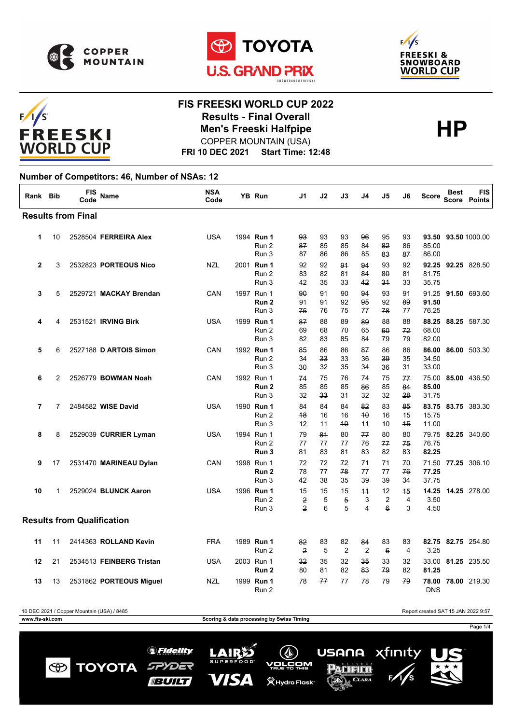





# $F/1/S$ **FREESKI WORLD CUP**

#### **FIS FREESKI WORLD CUP 2022 Results - Final Overall<br>Men's Freeski Halfpipe<br>COPPER MOUNTAIN (USA)** COPPER MOUNTAIN (USA)

**FRI 10 DEC 2021 Start Time: 12:48**

#### **Number of Competitors: 46, Number of NSAs: 12**

| Rank Bib     |                | FIS<br>Code                       | <b>Name</b>              | <b>NSA</b><br>Code | YB Run                                  | J1                        | J2             | J3                        | J4                   | J5                         | J6             | Score                   | <b>Best</b><br><b>Score</b> | <b>FIS</b><br>Points |
|--------------|----------------|-----------------------------------|--------------------------|--------------------|-----------------------------------------|---------------------------|----------------|---------------------------|----------------------|----------------------------|----------------|-------------------------|-----------------------------|----------------------|
|              |                | <b>Results from Final</b>         |                          |                    |                                         |                           |                |                           |                      |                            |                |                         |                             |                      |
| 1            | 10             |                                   | 2528504 FERREIRA Alex    | <b>USA</b>         | 1994 Run 1<br>Run 2<br>Run 3            | 93<br>87<br>87            | 93<br>85<br>86 | 93<br>85<br>86            | 96<br>84<br>85       | 95<br>82<br>83             | 93<br>86<br>87 | 93.50<br>85.00<br>86.00 |                             | 93.50 1000.00        |
| $\mathbf{2}$ | 3              |                                   | 2532823 PORTEOUS Nico    | NZL                | 2001 Run 1<br>Run 2<br>Run 3            | 92<br>83<br>42            | 92<br>82<br>35 | 91<br>81<br>33            | 94<br>84<br>42       | 93<br>80<br>34             | 92<br>81<br>33 | 92.25<br>81.75<br>35.75 |                             | 92.25 828.50         |
| 3            | 5              |                                   | 2529721 MACKAY Brendan   | CAN                | 1997 Run 1<br>Run <sub>2</sub><br>Run 3 | 90<br>91<br>75            | 91<br>91<br>76 | 90<br>92<br>75            | 94<br>95<br>77       | 93<br>92<br>78             | 91<br>89<br>77 | 91.25<br>91.50<br>76.25 |                             | 91.50 693.60         |
| 4            | 4              |                                   | 2531521 IRVING Birk      | <b>USA</b>         | 1999 Run 1<br>Run 2<br>Run 3            | 87<br>69<br>82            | 88<br>68<br>83 | 89<br>70<br>85            | 89<br>65<br>84       | 88<br>60<br>79             | 88<br>72<br>79 | 88.25<br>68.00<br>82.00 |                             | 88.25 587.30         |
| 5            | 6              |                                   | 2527188 D ARTOIS Simon   | CAN                | 1992 Run 1<br>Run 2<br>Run 3            | 85<br>34<br>30            | 86<br>33<br>32 | 86<br>33<br>35            | 87<br>36<br>34       | 86<br>39<br>36             | 86<br>35<br>31 | 86.00<br>34.50<br>33.00 |                             | 86.00 503.30         |
| 6            | 2              |                                   | 2526779 BOWMAN Noah      | CAN                | 1992 Run 1<br>Run <sub>2</sub><br>Run 3 | 74<br>85<br>32            | 75<br>85<br>33 | 76<br>85<br>31            | 74<br>86<br>32       | 75<br>85<br>32             | 77<br>84<br>28 | 75.00<br>85.00<br>31.75 |                             | 85.00 436.50         |
| 7            | $\overline{7}$ |                                   | 2484582 WISE David       | <b>USA</b>         | 1990 Run 1<br>Run 2<br>Run 3            | 84<br>48<br>12            | 84<br>16<br>11 | 84<br>16<br>40            | 82<br>40<br>11       | 83<br>16<br>10             | 85<br>15<br>45 | 83.75<br>15.75<br>11.00 |                             | 83.75 383.30         |
| 8            | 8              |                                   | 2529039 CURRIER Lyman    | <b>USA</b>         | 1994 Run 1<br>Run 2<br>Run 3            | 79<br>77<br>81            | 84<br>77<br>83 | 80<br>77<br>81            | 77<br>76<br>83       | 80<br>77<br>82             | 80<br>75<br>83 | 76.75<br>82.25          |                             | 79.75 82.25 340.60   |
| 9            | 17             |                                   | 2531470 MARINEAU Dylan   | CAN                | 1998 Run 1<br>Run <sub>2</sub><br>Run 3 | 72<br>78<br>42            | 72<br>77<br>38 | 72<br>78<br>35            | 71<br>77<br>39       | 71<br>77<br>39             | 70<br>76<br>34 | 71.50<br>77.25<br>37.75 |                             | 77.25 306.10         |
| 10           | 1              |                                   | 2529024 BLUNCK Aaron     | <b>USA</b>         | 1996 Run 1<br>Run 2<br>Run 3            | 15<br>2<br>$\overline{2}$ | 15<br>5<br>6   | 15<br>$\overline{5}$<br>5 | $+4$<br>3<br>4       | 12<br>2<br>$6\overline{6}$ | 45<br>4<br>3   | 3.50<br>4.50            |                             | 14.25 14.25 278.00   |
|              |                | <b>Results from Qualification</b> |                          |                    |                                         |                           |                |                           |                      |                            |                |                         |                             |                      |
| 11           | 11             |                                   | 2414363 ROLLAND Kevin    | <b>FRA</b>         | 1989 Run 1<br>Run 2                     | 82<br>$\overline{2}$      | 83<br>5        | 82<br>2                   | 84<br>$\overline{2}$ | 83<br>$6\overline{6}$      | 83<br>4        | 3.25                    |                             | 82.75 82.75 254.80   |
| 12           | 21             |                                   | 2534513 FEINBERG Tristan | <b>USA</b>         | 2003 Run 1<br>Run 2                     | 32<br>80                  | 35<br>81       | 32<br>82                  | 35<br>83             | 33<br>79                   | 32<br>82       | 33.00<br>81.25          |                             | 81.25 235.50         |
| 13           | 13             |                                   | 2531862 PORTEOUS Miguel  | NZL                | 1999 Run 1<br>Run 2                     | 78                        | 77             | 77                        | 78                   | 79                         | 79             | <b>DNS</b>              |                             | 78.00 78.00 219.30   |

10 DEC 2021 / Copper Mountain (USA) / 8485 Report created SAT 15 JAN 2022 9:57 **www.fis-ski.com Scoring & data processing by Swiss Timing** Page 1/4xfinity *SFidelity* LAIRS **USANA**  $(\Diamond)$ **TOYOTA** SPYDER <u>vorčom</u>  $\bigcirc$ PACIFICO VISA **BUILT (WHydro Flask**® CLARA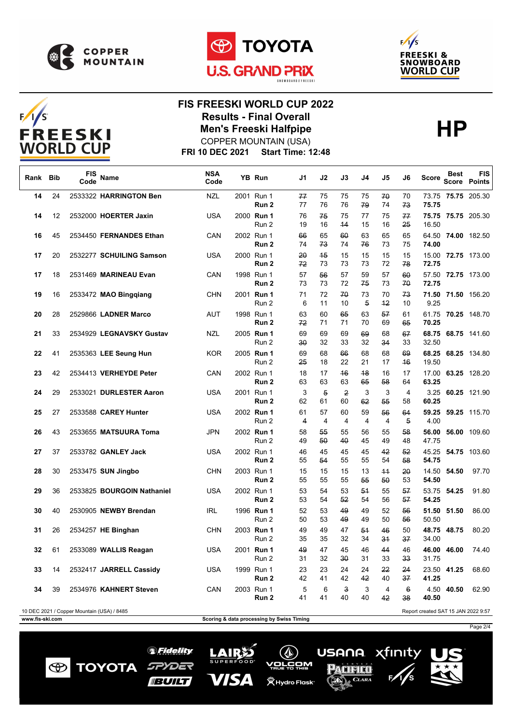

 $F/I/S$ 

**FREESKI WORLD CUP** 





### **FIS FREESKI WORLD CUP 2022 Results - Final Overall<br>Men's Freeski Halfpipe<br>COPPER MOUNTAIN (USA)** COPPER MOUNTAIN (USA)

**FRI 10 DEC 2021 Start Time: 12:48**

| Rank            | Bib | <b>FIS</b><br>Code                         | Name                       | <b>NSA</b><br>Code | YB Run              | J1                                        | J2       | J3                   | J4                   | J5         | J6       | Score                               | <b>Best</b> | <b>FIS</b><br>Score Points |
|-----------------|-----|--------------------------------------------|----------------------------|--------------------|---------------------|-------------------------------------------|----------|----------------------|----------------------|------------|----------|-------------------------------------|-------------|----------------------------|
| 14              | 24  |                                            | 2533322 HARRINGTON Ben     | <b>NZL</b>         | 2001 Run 1<br>Run 2 | 77<br>77                                  | 75<br>76 | 75<br>76             | 75<br>79             | 70<br>74   | 70<br>73 | 75.75                               |             | 73.75 75.75 205.30         |
| 14              | 12  |                                            | 2532000 HOERTER Jaxin      | USA                | 2000 Run 1<br>Run 2 | 76<br>19                                  | 75<br>16 | 75<br>44             | 77<br>15             | 75<br>16   | 77<br>25 | 16.50                               |             | 75.75 75.75 205.30         |
| 16              | 45  |                                            | 2534450 FERNANDES Ethan    | CAN                | 2002 Run 1<br>Run 2 | 66<br>74                                  | 65<br>73 | 60<br>74             | 63<br>76             | 65<br>73   | 65<br>75 | 74.00                               |             | 64.50 74.00 182.50         |
| 17              | 20  |                                            | 2532277 SCHUILING Samson   | USA                | 2000 Run 1<br>Run 2 | 20<br>72                                  | 45<br>73 | 15<br>73             | 15<br>73             | 15<br>72   | 15<br>78 | 72.75                               |             | 15.00 72.75 173.00         |
| 17              | 18  |                                            | 2531469 MARINEAU Evan      | CAN                | 1998 Run 1<br>Run 2 | 57<br>73                                  | 56<br>73 | 57<br>72             | 59<br>75             | 57<br>73   | 60<br>70 | 72.75                               |             | 57.50 72.75 173.00         |
| 19              | 16  |                                            | 2533472 MAO Bingqiang      | <b>CHN</b>         | 2001 Run 1<br>Run 2 | 71<br>6                                   | 72<br>11 | 70<br>10             | 73<br>$\overline{5}$ | 70<br>42   | 73<br>10 | 9.25                                |             | 71.50 71.50 156.20         |
| 20              | 28  |                                            | 2529866 LADNER Marco       | AUT                | 1998 Run 1<br>Run 2 | 63<br>72                                  | 60<br>71 | 65<br>71             | 63<br>70             | 57<br>69   | 61<br>65 | 70.25                               |             | 61.75 70.25 148.70         |
| 21              | 33  |                                            | 2534929 LEGNAVSKY Gustav   | NZL                | 2005 Run 1<br>Run 2 | 69<br>30                                  | 69<br>32 | 69<br>33             | 69<br>32             | 68<br>34   | 67<br>33 | 68.75<br>32.50                      |             | 68.75 141.60               |
| 22              | 41  |                                            | 2535363 LEE Seung Hun      | KOR                | 2005 Run 1<br>Run 2 | 69<br>25                                  | 68<br>18 | 66<br>22             | 68<br>21             | 68<br>17   | 69<br>46 | 68.25<br>19.50                      |             | 68.25 134.80               |
| 23              | 42  |                                            | 2534413 VERHEYDE Peter     | CAN                | 2002 Run 1<br>Run 2 | 18<br>63                                  | 17<br>63 | 46<br>63             | 48<br>65             | 16<br>58   | 17<br>64 | 63.25                               |             | 17.00 63.25 128.20         |
| 24              | 29  |                                            | 2533021 DURLESTER Aaron    | USA                | 2001 Run 1<br>Run 2 | 3<br>62                                   | 5<br>61  | 2<br>60              | 3<br>62              | 3<br>55    | 4<br>58  | 60.25                               |             | 3.25 60.25 121.90          |
| 25              | 27  |                                            | 2533588 CAREY Hunter       | USA                | 2002 Run 1<br>Run 2 | 61<br>$\overline{4}$                      | 57<br>4  | 60<br>$\overline{4}$ | 59<br>$\overline{4}$ | 56<br>4    | 64<br>5  | 4.00                                |             | 59.25 59.25 115.70         |
| 26              | 43  |                                            | 2533655 MATSUURA Toma      | <b>JPN</b>         | 2002 Run 1<br>Run 2 | 58<br>49                                  | 55<br>50 | 55<br>40             | 56<br>45             | 55<br>49   | 58<br>48 | 56.00<br>47.75                      |             | 56.00 109.60               |
| 27              | 37  |                                            | 2533782 GANLEY Jack        | USA                | 2002 Run 1<br>Run 2 | 46<br>55                                  | 45<br>54 | 45<br>55             | 45<br>55             | 42<br>54   | 52<br>58 | 54.75                               |             | 45.25 54.75 103.60         |
| 28              | 30  |                                            | 2533475 SUN Jingbo         | <b>CHN</b>         | 2003 Run 1<br>Run 2 | 15<br>55                                  | 15<br>55 | 15<br>55             | 13<br>55             | $+4$<br>50 | 20<br>53 | 54.50                               | 14.50 54.50 | 97.70                      |
| 29              | 36  |                                            | 2533825 BOURGOIN Nathaniel | USA                | 2002 Run 1<br>Run 2 | 53<br>53                                  | 54<br>54 | 53<br>52             | 54<br>54             | 55<br>56   | 57<br>57 | 54.25                               | 53.75 54.25 | 91.80                      |
| 30              | 40  |                                            | 2530905 NEWBY Brendan      | IRL                | 1996 Run 1<br>Run 2 | 52<br>50                                  | 53<br>53 | 49<br>49             | 49<br>49             | 52<br>50   | 56<br>56 | 50.50                               | 51.50 51.50 | 86.00                      |
| 31              | 26  |                                            | 2534257 HE Binghan         | <b>CHN</b>         | 2003 Run 1<br>Run 2 | 49<br>35                                  | 49<br>35 | 47<br>32             | 54<br>34             | 46<br>34   | 50<br>37 | 34.00                               | 48.75 48.75 | 80.20                      |
| 32              | 61  |                                            | 2533089 WALLIS Reagan      | USA                | 2001 Run 1<br>Run 2 | 49<br>31                                  | 47<br>32 | 45<br>30             | 46<br>31             | 44<br>33   | 46<br>33 | 31.75                               | 46.00 46.00 | 74.40                      |
| 33              | 14  |                                            | 2532417 JARRELL Cassidy    | USA                | 1999 Run 1<br>Run 2 | 23<br>42                                  | 23<br>41 | 24<br>42             | 24<br>42             | 22<br>40   | 24<br>37 | 41.25                               | 23.50 41.25 | 68.60                      |
| 34              | 39  |                                            | 2534976 KAHNERT Steven     | CAN                | 2003 Run 1<br>Run 2 | 5<br>41                                   | 6<br>41  | 3<br>40              | 3<br>40              | 4<br>42    | 6<br>38  | 40.50                               | 4.50 40.50  | 62.90                      |
|                 |     | 10 DEC 2021 / Copper Mountain (USA) / 8485 |                            |                    |                     |                                           |          |                      |                      |            |          | Report created SAT 15 JAN 2022 9:57 |             |                            |
| www.fis-ski.com |     |                                            |                            |                    |                     | Scoring & data processing by Swiss Timing |          |                      |                      |            |          |                                     |             |                            |

**LAIRS** 

**SUPERFOOD** 

**VISA** 

*<sup></sub>* Fidelity</sup>

SPYDER

**IBUILT** 

**TOYOTA** 

 $\bigcirc$ 

Page 2/4

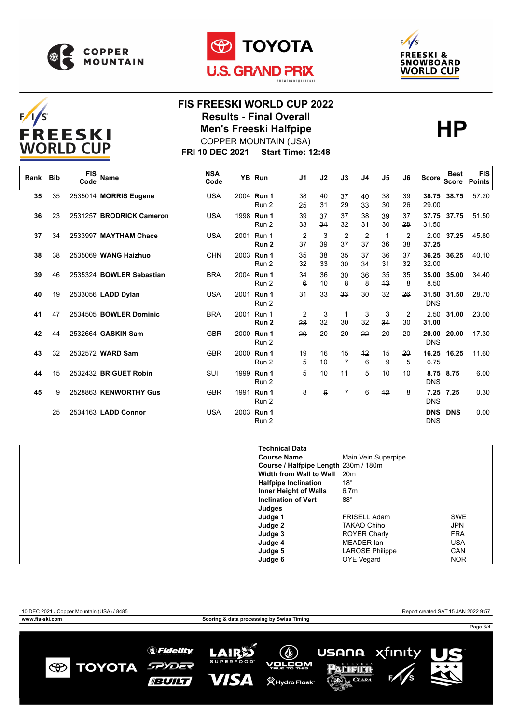





## $F/I/S$ **FREESKI WORLD CUP**

#### **FIS FREESKI WORLD CUP 2022 Results - Final Overall<br>Men's Freeski Halfpipe<br>COPPER MOUNTAIN (USA)** COPPER MOUNTAIN (USA)



**FRI 10 DEC 2021 Start Time: 12:48**

| Rank | <b>Bib</b> | <b>FIS</b><br>Code | <b>Name</b>              | <b>NSA</b><br>Code | YB Run                         | J1                    | J2                            | J3                   | J4                    | J5                   | J6       | Score                    | <b>Best</b><br><b>Score</b> | <b>FIS</b><br><b>Points</b> |
|------|------------|--------------------|--------------------------|--------------------|--------------------------------|-----------------------|-------------------------------|----------------------|-----------------------|----------------------|----------|--------------------------|-----------------------------|-----------------------------|
| 35   | 35         |                    | 2535014 MORRIS Eugene    | <b>USA</b>         | 2004 Run 1<br>Run 2            | 38<br>25              | 40<br>31                      | 37<br>29             | 40<br>33 <sub>o</sub> | 38<br>30             | 39<br>26 | 29.00                    | 38.75 38.75                 | 57.20                       |
| 36   | 23         |                    | 2531257 BRODRICK Cameron | <b>USA</b>         | 1998 Run 1<br>Run 2            | 39<br>33              | 37<br>34                      | 37<br>32             | 38<br>31              | 39<br>30             | 37<br>28 | 31.50                    | 37.75 37.75                 | 51.50                       |
| 37   | 34         |                    | 2533997 MAYTHAM Chace    | <b>USA</b>         | 2001 Run 1<br>Run <sub>2</sub> | $\overline{2}$<br>37  | $\overline{\mathbf{3}}$<br>39 | $\overline{2}$<br>37 | $\overline{2}$<br>37  | $\overline{1}$<br>36 | 2<br>38  | 2.00<br>37.25            | 37.25                       | 45.80                       |
| 38   | 38         |                    | 2535069 WANG Haizhuo     | <b>CHN</b>         | 2003 Run 1<br>Run 2            | 35<br>32              | 38<br>33                      | 35<br>30             | 37<br>34              | 36<br>31             | 37<br>32 | 36.25<br>32.00           | 36.25                       | 40.10                       |
| 39   | 46         |                    | 2535324 BOWLER Sebastian | <b>BRA</b>         | 2004 Run 1<br>Run 2            | 34<br>$6\overline{6}$ | 36<br>10                      | 30<br>8              | 36<br>8               | 35<br>43             | 35<br>8  | 35.00<br>8.50            | 35.00                       | 34.40                       |
| 40   | 19         |                    | 2533056 LADD Dylan       | <b>USA</b>         | 2001 Run 1<br>Run 2            | 31                    | 33                            | 33                   | 30                    | 32                   | 26       | 31.50<br><b>DNS</b>      | 31.50                       | 28.70                       |
| 41   | 47         |                    | 2534505 BOWLER Dominic   | <b>BRA</b>         | 2001 Run 1<br>Run <sub>2</sub> | 2<br>28               | 3<br>32                       | $\overline{+}$<br>30 | 3<br>32               | 3<br>34              | 2<br>30  | 2.50<br>31.00            | 31.00                       | 23.00                       |
| 42   | 44         |                    | 2532664 GASKIN Sam       | <b>GBR</b>         | 2000 Run 1<br>Run 2            | 20                    | 20                            | 20                   | 22                    | 20                   | 20       | 20.00<br><b>DNS</b>      | 20.00                       | 17.30                       |
| 43   | 32         |                    | 2532572 WARD Sam         | <b>GBR</b>         | 2000 Run 1<br>Run 2            | 19<br>5               | 16<br>40                      | 15<br>$\overline{7}$ | 42<br>6               | 15<br>9              | 20<br>5  | 16.25<br>6.75            | 16.25                       | 11.60                       |
| 44   | 15         |                    | 2532432 BRIGUET Robin    | SUI                | 1999 Run 1<br>Run 2            | 5                     | 10                            | $+4$                 | 5                     | 10                   | 10       | <b>DNS</b>               | 8.75 8.75                   | 6.00                        |
| 45   | 9          |                    | 2528863 KENWORTHY Gus    | <b>GBR</b>         | 1991 Run 1<br>Run 2            | 8                     | $6\overline{6}$               | 7                    | 6                     | $+2$                 | 8        | 7.25<br><b>DNS</b>       | 7.25                        | 0.30                        |
|      | 25         |                    | 2534163 LADD Connor      | <b>USA</b>         | 2003 Run 1<br>Run 2            |                       |                               |                      |                       |                      |          | <b>DNS</b><br><b>DNS</b> | <b>DNS</b>                  | 0.00                        |

| <b>Technical Data</b>                |                        |            |
|--------------------------------------|------------------------|------------|
| <b>Course Name</b>                   | Main Vein Superpipe    |            |
| Course / Halfpipe Length 230m / 180m |                        |            |
| Width from Wall to Wall              | 20 <sub>m</sub>        |            |
| <b>Halfpipe Inclination</b>          | $18^{\circ}$           |            |
| Inner Height of Walls                | 6.7 <sub>m</sub>       |            |
| <b>Inclination of Vert</b>           | $88^\circ$             |            |
| Judges                               |                        |            |
| Judge 1                              | <b>FRISELL Adam</b>    | <b>SWE</b> |
| Judge 2                              | <b>TAKAO Chiho</b>     | JPN        |
| Judge 3                              | <b>ROYER Charly</b>    | <b>FRA</b> |
| Judge 4                              | MEADER Ian             | <b>USA</b> |
| Judge 5                              | <b>LAROSE Philippe</b> | CAN        |
| Judge 6                              | <b>OYE Vegard</b>      | <b>NOR</b> |